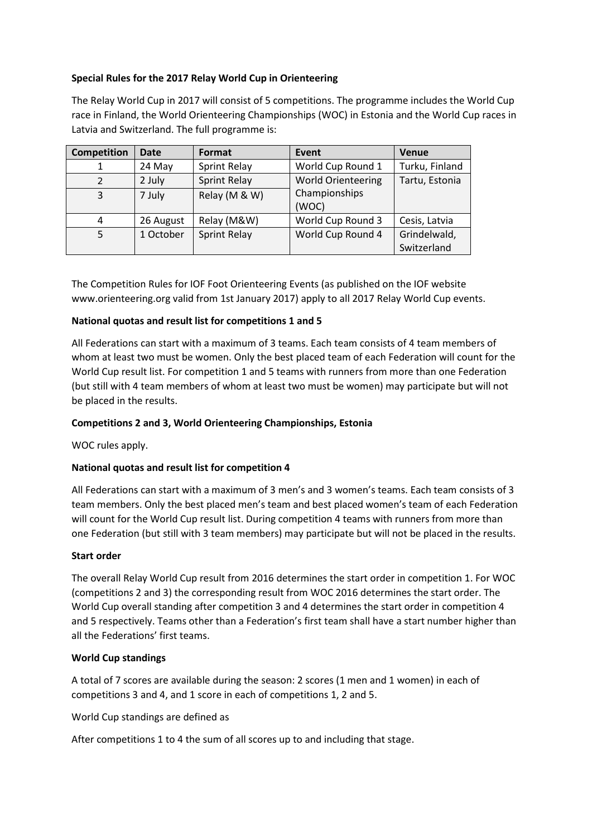# **Special Rules for the 2017 Relay World Cup in Orienteering**

The Relay World Cup in 2017 will consist of 5 competitions. The programme includes the World Cup race in Finland, the World Orienteering Championships (WOC) in Estonia and the World Cup races in Latvia and Switzerland. The full programme is:

| <b>Competition</b> | <b>Date</b> | Format              | Event                     | <b>Venue</b>                |
|--------------------|-------------|---------------------|---------------------------|-----------------------------|
|                    | 24 May      | Sprint Relay        | World Cup Round 1         | Turku, Finland              |
| 2                  | 2 July      | <b>Sprint Relay</b> | <b>World Orienteering</b> | Tartu, Estonia              |
| 3                  | 7 July      | Relay (M & W)       | Championships<br>(WOC)    |                             |
| 4                  | 26 August   | Relay (M&W)         | World Cup Round 3         | Cesis, Latvia               |
|                    | 1 October   | <b>Sprint Relay</b> | World Cup Round 4         | Grindelwald,<br>Switzerland |

The Competition Rules for IOF Foot Orienteering Events (as published on the IOF website www.orienteering.org valid from 1st January 2017) apply to all 2017 Relay World Cup events.

## **National quotas and result list for competitions 1 and 5**

All Federations can start with a maximum of 3 teams. Each team consists of 4 team members of whom at least two must be women. Only the best placed team of each Federation will count for the World Cup result list. For competition 1 and 5 teams with runners from more than one Federation (but still with 4 team members of whom at least two must be women) may participate but will not be placed in the results.

### **Competitions 2 and 3, World Orienteering Championships, Estonia**

WOC rules apply.

### **National quotas and result list for competition 4**

All Federations can start with a maximum of 3 men's and 3 women's teams. Each team consists of 3 team members. Only the best placed men's team and best placed women's team of each Federation will count for the World Cup result list. During competition 4 teams with runners from more than one Federation (but still with 3 team members) may participate but will not be placed in the results.

### **Start order**

The overall Relay World Cup result from 2016 determines the start order in competition 1. For WOC (competitions 2 and 3) the corresponding result from WOC 2016 determines the start order. The World Cup overall standing after competition 3 and 4 determines the start order in competition 4 and 5 respectively. Teams other than a Federation's first team shall have a start number higher than all the Federations' first teams.

### **World Cup standings**

A total of 7 scores are available during the season: 2 scores (1 men and 1 women) in each of competitions 3 and 4, and 1 score in each of competitions 1, 2 and 5.

World Cup standings are defined as

After competitions 1 to 4 the sum of all scores up to and including that stage.